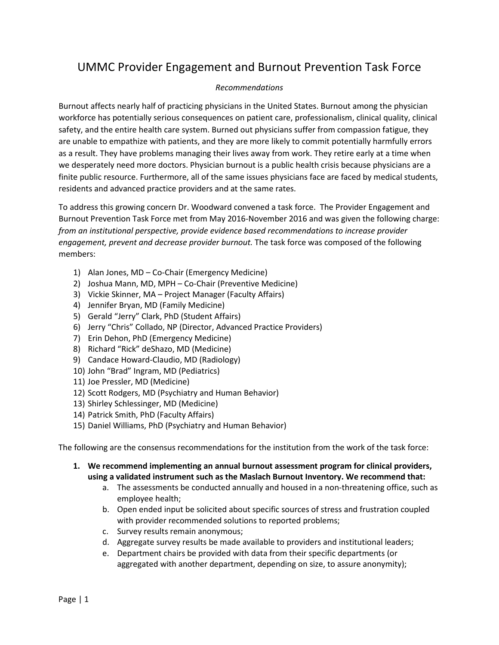## UMMC Provider Engagement and Burnout Prevention Task Force

## *Recommendations*

Burnout affects nearly half of practicing physicians in the United States. Burnout among the physician workforce has potentially serious consequences on patient care, professionalism, clinical quality, clinical safety, and the entire health care system. Burned out physicians suffer from compassion fatigue, they are unable to empathize with patients, and they are more likely to commit potentially harmfully errors as a result. They have problems managing their lives away from work. They retire early at a time when we desperately need more doctors. Physician burnout is a public health crisis because physicians are a finite public resource. Furthermore, all of the same issues physicians face are faced by medical students, residents and advanced practice providers and at the same rates.

To address this growing concern Dr. Woodward convened a task force. The Provider Engagement and Burnout Prevention Task Force met from May 2016-November 2016 and was given the following charge: *from an institutional perspective, provide evidence based recommendations to increase provider engagement, prevent and decrease provider burnout.* The task force was composed of the following members:

- 1) Alan Jones, MD Co-Chair (Emergency Medicine)
- 2) Joshua Mann, MD, MPH Co-Chair (Preventive Medicine)
- 3) Vickie Skinner, MA Project Manager (Faculty Affairs)
- 4) Jennifer Bryan, MD (Family Medicine)
- 5) Gerald "Jerry" Clark, PhD (Student Affairs)
- 6) Jerry "Chris" Collado, NP (Director, Advanced Practice Providers)
- 7) Erin Dehon, PhD (Emergency Medicine)
- 8) Richard "Rick" deShazo, MD (Medicine)
- 9) Candace Howard-Claudio, MD (Radiology)
- 10) John "Brad" Ingram, MD (Pediatrics)
- 11) Joe Pressler, MD (Medicine)
- 12) Scott Rodgers, MD (Psychiatry and Human Behavior)
- 13) Shirley Schlessinger, MD (Medicine)
- 14) Patrick Smith, PhD (Faculty Affairs)
- 15) Daniel Williams, PhD (Psychiatry and Human Behavior)

The following are the consensus recommendations for the institution from the work of the task force:

- **1. We recommend implementing an annual burnout assessment program for clinical providers, using a validated instrument such as the Maslach Burnout Inventory. We recommend that:**
	- a. The assessments be conducted annually and housed in a non-threatening office, such as employee health;
	- b. Open ended input be solicited about specific sources of stress and frustration coupled with provider recommended solutions to reported problems;
	- c. Survey results remain anonymous;
	- d. Aggregate survey results be made available to providers and institutional leaders;
	- e. Department chairs be provided with data from their specific departments (or aggregated with another department, depending on size, to assure anonymity);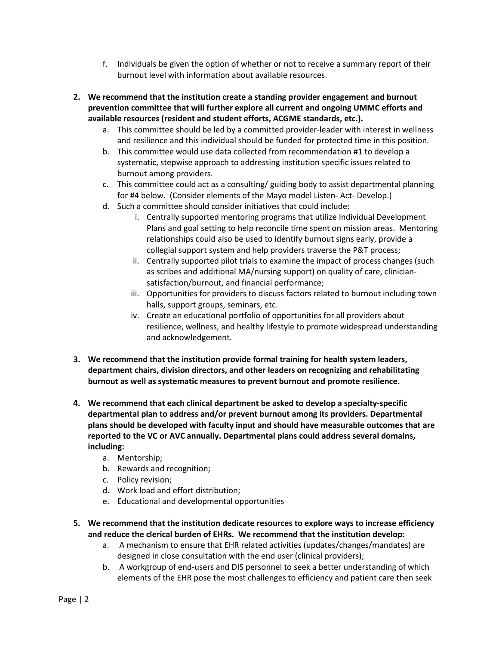- f. Individuals be given the option of whether or not to receive a summary report of their burnout level with information about available resources.
- **2. We recommend that the institution create a standing provider engagement and burnout prevention committee that will further explore all current and ongoing UMMC efforts and available resources (resident and student efforts, ACGME standards, etc.).** 
	- a. This committee should be led by a committed provider-leader with interest in wellness and resilience and this individual should be funded for protected time in this position.
	- b. This committee would use data collected from recommendation #1 to develop a systematic, stepwise approach to addressing institution specific issues related to burnout among providers.
	- c. This committee could act as a consulting/ guiding body to assist departmental planning for #4 below. (Consider elements of the Mayo model Listen- Act- Develop.)
	- d. Such a committee should consider initiatives that could include:
		- i. Centrally supported mentoring programs that utilize Individual Development Plans and goal setting to help reconcile time spent on mission areas. Mentoring relationships could also be used to identify burnout signs early, provide a collegial support system and help providers traverse the P&T process;
		- ii. Centrally supported pilot trials to examine the impact of process changes (such as scribes and additional MA/nursing support) on quality of care, cliniciansatisfaction/burnout, and financial performance;
		- iii. Opportunities for providers to discuss factors related to burnout including town halls, support groups, seminars, etc.
		- iv. Create an educational portfolio of opportunities for all providers about resilience, wellness, and healthy lifestyle to promote widespread understanding and acknowledgement.
- **3. We recommend that the institution provide formal training for health system leaders, department chairs, division directors, and other leaders on recognizing and rehabilitating burnout as well as systematic measures to prevent burnout and promote resilience.**
- **4. We recommend that each clinical department be asked to develop a specialty-specific departmental plan to address and/or prevent burnout among its providers. Departmental plans should be developed with faculty input and should have measurable outcomes that are reported to the VC or AVC annually. Departmental plans could address several domains, including:**
	- a. Mentorship;
	- b. Rewards and recognition;
	- c. Policy revision;
	- d. Work load and effort distribution;
	- e. Educational and developmental opportunities
- **5. We recommend that the institution dedicate resources to explore ways to increase efficiency and reduce the clerical burden of EHRs. We recommend that the institution develop:**
	- a. A mechanism to ensure that EHR related activities (updates/changes/mandates) are designed in close consultation with the end user (clinical providers);
	- b. A workgroup of end-users and DIS personnel to seek a better understanding of which elements of the EHR pose the most challenges to efficiency and patient care then seek